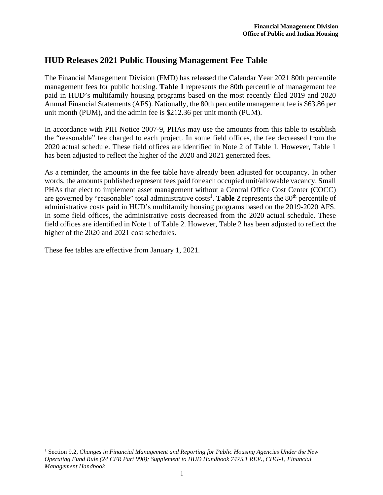## **HUD Releases 2021 Public Housing Management Fee Table**

The Financial Management Division (FMD) has released the Calendar Year 2021 80th percentile management fees for public housing. **Table 1** represents the 80th percentile of management fee paid in HUD's multifamily housing programs based on the most recently filed 2019 and 2020 Annual Financial Statements (AFS). Nationally, the 80th percentile management fee is \$63.86 per unit month (PUM), and the admin fee is \$212.36 per unit month (PUM).

In accordance with PIH Notice 2007-9, PHAs may use the amounts from this table to establish the "reasonable" fee charged to each project. In some field offices, the fee decreased from the 2020 actual schedule. These field offices are identified in Note 2 of Table 1. However, Table 1 has been adjusted to reflect the higher of the 2020 and 2021 generated fees.

As a reminder, the amounts in the fee table have already been adjusted for occupancy. In other words, the amounts published represent fees paid for each occupied unit/allowable vacancy. Small PHAs that elect to implement asset management without a Central Office Cost Center (COCC) are governed by "reasonable" total administrative costs<sup>1</sup>. Table 2 represents the 80<sup>th</sup> percentile of administrative costs paid in HUD's multifamily housing programs based on the 2019-2020 AFS. In some field offices, the administrative costs decreased from the 2020 actual schedule. These field offices are identified in Note 1 of Table 2. However, Table 2 has been adjusted to reflect the higher of the 2020 and 2021 cost schedules.

These fee tables are effective from January 1, 2021.

<sup>&</sup>lt;sup>1</sup> Section 9.2, *Changes in Financial Management and Reporting for Public Housing Agencies Under the New Operating Fund Rule (24 CFR Part 990); Supplement to HUD Handbook 7475.1 REV., CHG-1, Financial Management Handbook*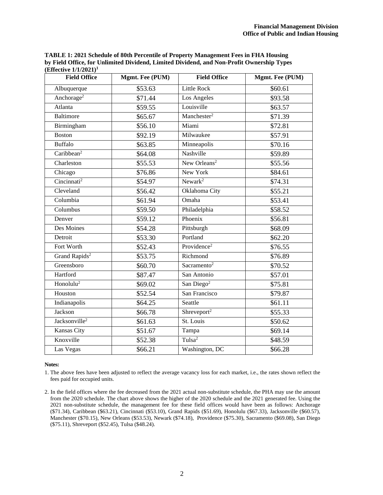**TABLE 1: 2021 Schedule of 80th Percentile of Property Management Fees in FHA Housing by Field Office, for Unlimited Dividend, Limited Dividend, and Non-Profit Ownership Types (Effective 1/1/2021)<sup>1</sup>**

| <b>Field Office</b>       | Mgmt. Fee (PUM) | <b>Field Office</b>      | Mgmt. Fee (PUM) |
|---------------------------|-----------------|--------------------------|-----------------|
| Albuquerque               | \$53.63         | <b>Little Rock</b>       | \$60.61         |
| Anchorage <sup>2</sup>    | \$71.44         | Los Angeles              | \$93.58         |
| Atlanta                   | \$59.55         | Louisville               | \$63.57         |
| Baltimore                 | \$65.67         | Manchester <sup>2</sup>  | \$71.39         |
| Birmingham                | \$56.10         | Miami                    | \$72.81         |
| <b>Boston</b>             | \$92.19         | Milwaukee                | \$57.91         |
| Buffalo                   | \$63.85         | Minneapolis              | \$70.16         |
| Caribbean <sup>2</sup>    | \$64.08         | Nashville                | \$59.89         |
| Charleston                | \$55.53         | New Orleans <sup>2</sup> | \$55.56         |
| Chicago                   | \$76.86         | New York                 | \$84.61         |
| Cincinnati <sup>2</sup>   | \$54.97         | Newark <sup>2</sup>      | \$74.31         |
| Cleveland                 | \$56.42         | Oklahoma City            | \$55.21         |
| Columbia                  | \$61.94         | Omaha                    | \$53.41         |
| Columbus                  | \$59.50         | Philadelphia             | \$58.52         |
| Denver                    | \$59.12         | Phoenix                  | \$56.81         |
| Des Moines                | \$54.28         | Pittsburgh               | \$68.09         |
| Detroit                   | \$53.30         | Portland                 | \$62.20         |
| Fort Worth                | \$52.43         | Providence <sup>2</sup>  | \$76.55         |
| Grand Rapids <sup>2</sup> | \$53.75         | Richmond                 | \$76.89         |
| Greensboro                | \$60.70         | Sacramento <sup>2</sup>  | \$70.52         |
| Hartford                  | \$87.47         | San Antonio              | \$57.01         |
| Honolulu <sup>2</sup>     | \$69.02         | San Diego <sup>2</sup>   | \$75.81         |
| Houston                   | \$52.54         | San Francisco            | \$79.87         |
| Indianapolis              | \$64.25         | Seattle                  | \$61.11         |
| Jackson                   | \$66.78         | Shreveport <sup>2</sup>  | \$55.33         |
| Jacksonville <sup>2</sup> | \$61.63         | St. Louis                | \$50.62         |
| <b>Kansas City</b>        | \$51.67         | Tampa                    | \$69.14         |
| Knoxville                 | \$52.38         | Tulsa <sup>2</sup>       | \$48.59         |
| Las Vegas                 | \$66.21         | Washington, DC           | \$66.28         |

## **Notes:**

1. The above fees have been adjusted to reflect the average vacancy loss for each market, i.e., the rates shown reflect the fees paid for occupied units.

<sup>2.</sup> In the field offices where the fee decreased from the 2021 actual non-substitute schedule, the PHA may use the amount from the 2020 schedule. The chart above shows the higher of the 2020 schedule and the 2021 generated fee. Using the 2021 non-substitute schedule, the management fee for these field offices would have been as follows: Anchorage (\$71.34), Caribbean (\$63.21), Cincinnati (\$53.10), Grand Rapids (\$51.69), Honolulu (\$67.33), Jacksonville (\$60.57), Manchester (\$70.15), New Orleans (\$53.53), Newark (\$74.18), Providence (\$75.30), Sacramento (\$69.08), San Diego (\$75.11), Shreveport (\$52.45), Tulsa (\$48.24).